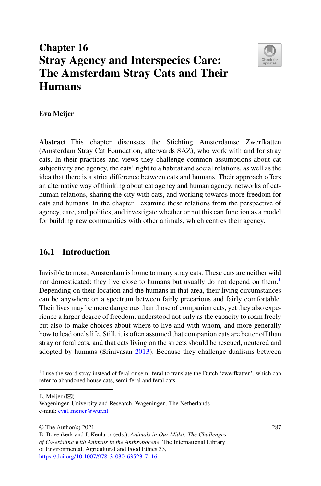# **Chapter 16 Stray Agency and Interspecies Care: The Amsterdam Stray Cats and Their Humans**



**Eva Meijer**

**Abstract** This chapter discusses the Stichting Amsterdamse Zwerfkatten (Amsterdam Stray Cat Foundation, afterwards SAZ), who work with and for stray cats. In their practices and views they challenge common assumptions about cat subjectivity and agency, the cats' right to a habitat and social relations, as well as the idea that there is a strict difference between cats and humans. Their approach offers an alternative way of thinking about cat agency and human agency, networks of cathuman relations, sharing the city with cats, and working towards more freedom for cats and humans. In the chapter I examine these relations from the perspective of agency, care, and politics, and investigate whether or not this can function as a model for building new communities with other animals, which centres their agency.

## **16.1 Introduction**

Invisible to most, Amsterdam is home to many stray cats. These cats are neither wild nor domesticated: they live close to humans but usually do not depend on them.<sup>1</sup> Depending on their location and the humans in that area, their living circumstances can be anywhere on a spectrum between fairly precarious and fairly comfortable. Their lives may be more dangerous than those of companion cats, yet they also experience a larger degree of freedom, understood not only as the capacity to roam freely but also to make choices about where to live and with whom, and more generally how to lead one's life. Still, it is often assumed that companion cats are better off than stray or feral cats, and that cats living on the streets should be rescued, neutered and adopted by humans (Srinivasan [2013\)](#page-12-0). Because they challenge dualisms between

E. Meijer  $(\boxtimes)$ 

<span id="page-0-0"></span> $1<sup>1</sup>$  use the word stray instead of feral or semi-feral to translate the Dutch 'zwerfkatten', which can refer to abandoned house cats, semi-feral and feral cats.

Wageningen University and Research, Wageningen, The Netherlands e-mail: [eva1.meijer@wur.nl](mailto:eva1.meijer@wur.nl)

<sup>©</sup> The Author(s) 2021

B. Bovenkerk and J. Keulartz (eds.), *Animals in Our Midst: The Challenges of Co-existing with Animals in the Anthropocene*, The International Library of Environmental, Agricultural and Food Ethics 33, [https://doi.org/10.1007/978-3-030-63523-7\\_16](https://doi.org/10.1007/978-3-030-63523-7_16)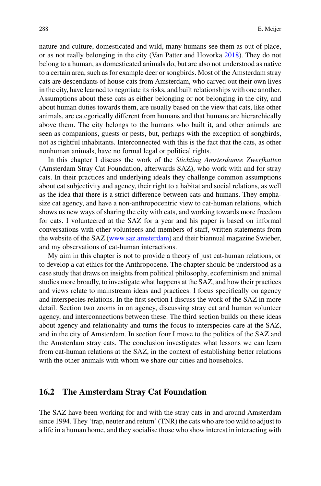nature and culture, domesticated and wild, many humans see them as out of place, or as not really belonging in the city (Van Patter and Hovorka [2018\)](#page-12-1). They do not belong to a human, as domesticated animals do, but are also not understood as native to a certain area, such as for example deer or songbirds. Most of the Amsterdam stray cats are descendants of house cats from Amsterdam, who carved out their own lives in the city, have learned to negotiate its risks, and built relationships with one another. Assumptions about these cats as either belonging or not belonging in the city, and about human duties towards them, are usually based on the view that cats, like other animals, are categorically different from humans and that humans are hierarchically above them. The city belongs to the humans who built it, and other animals are seen as companions, guests or pests, but, perhaps with the exception of songbirds, not as rightful inhabitants. Interconnected with this is the fact that the cats, as other nonhuman animals, have no formal legal or political rights.

In this chapter I discuss the work of the *Stichting Amsterdamse Zwerfkatten* (Amsterdam Stray Cat Foundation, afterwards SAZ), who work with and for stray cats. In their practices and underlying ideals they challenge common assumptions about cat subjectivity and agency, their right to a habitat and social relations, as well as the idea that there is a strict difference between cats and humans. They emphasize cat agency, and have a non-anthropocentric view to cat-human relations, which shows us new ways of sharing the city with cats, and working towards more freedom for cats. I volunteered at the SAZ for a year and his paper is based on informal conversations with other volunteers and members of staff, written statements from the website of the SAZ [\(www.saz.amsterdam\)](http://www.saz.amsterdam) and their biannual magazine Swieber, and my observations of cat-human interactions.

My aim in this chapter is not to provide a theory of just cat-human relations, or to develop a cat ethics for the Anthropocene. The chapter should be understood as a case study that draws on insights from political philosophy, ecofeminism and animal studies more broadly, to investigate what happens at the SAZ, and how their practices and views relate to mainstream ideas and practices. I focus specifically on agency and interspecies relations. In the first section I discuss the work of the SAZ in more detail. Section two zooms in on agency, discussing stray cat and human volunteer agency, and interconnections between these. The third section builds on these ideas about agency and relationality and turns the focus to interspecies care at the SAZ, and in the city of Amsterdam. In section four I move to the politics of the SAZ and the Amsterdam stray cats. The conclusion investigates what lessons we can learn from cat-human relations at the SAZ, in the context of establishing better relations with the other animals with whom we share our cities and households.

#### **16.2 The Amsterdam Stray Cat Foundation**

The SAZ have been working for and with the stray cats in and around Amsterdam since 1994. They 'trap, neuter and return' (TNR) the cats who are too wild to adjust to a life in a human home, and they socialise those who show interest in interacting with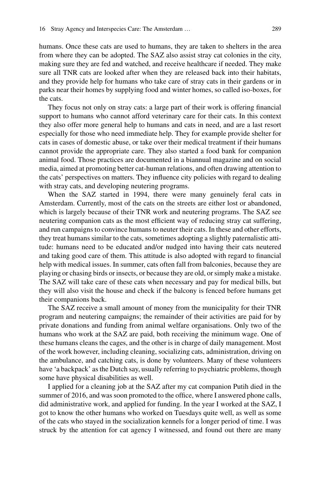humans. Once these cats are used to humans, they are taken to shelters in the area from where they can be adopted. The SAZ also assist stray cat colonies in the city, making sure they are fed and watched, and receive healthcare if needed. They make sure all TNR cats are looked after when they are released back into their habitats, and they provide help for humans who take care of stray cats in their gardens or in parks near their homes by supplying food and winter homes, so called iso-boxes, for the cats.

They focus not only on stray cats: a large part of their work is offering financial support to humans who cannot afford veterinary care for their cats. In this context they also offer more general help to humans and cats in need, and are a last resort especially for those who need immediate help. They for example provide shelter for cats in cases of domestic abuse, or take over their medical treatment if their humans cannot provide the appropriate care. They also started a food bank for companion animal food. Those practices are documented in a biannual magazine and on social media, aimed at promoting better cat-human relations, and often drawing attention to the cats' perspectives on matters. They influence city policies with regard to dealing with stray cats, and developing neutering programs.

When the SAZ started in 1994, there were many genuinely feral cats in Amsterdam. Currently, most of the cats on the streets are either lost or abandoned, which is largely because of their TNR work and neutering programs. The SAZ see neutering companion cats as the most efficient way of reducing stray cat suffering, and run campaigns to convince humans to neuter their cats. In these and other efforts, they treat humans similar to the cats, sometimes adopting a slightly paternalistic attitude: humans need to be educated and/or nudged into having their cats neutered and taking good care of them. This attitude is also adopted with regard to financial help with medical issues. In summer, cats often fall from balconies, because they are playing or chasing birds or insects, or because they are old, or simply make a mistake. The SAZ will take care of these cats when necessary and pay for medical bills, but they will also visit the house and check if the balcony is fenced before humans get their companions back.

The SAZ receive a small amount of money from the municipality for their TNR program and neutering campaigns; the remainder of their activities are paid for by private donations and funding from animal welfare organisations. Only two of the humans who work at the SAZ are paid, both receiving the minimum wage. One of these humans cleans the cages, and the other is in charge of daily management. Most of the work however, including cleaning, socializing cats, administration, driving on the ambulance, and catching cats, is done by volunteers. Many of these volunteers have 'a backpack' as the Dutch say, usually referring to psychiatric problems, though some have physical disabilities as well.

I applied for a cleaning job at the SAZ after my cat companion Putih died in the summer of 2016, and was soon promoted to the office, where I answered phone calls, did administrative work, and applied for funding. In the year I worked at the SAZ, I got to know the other humans who worked on Tuesdays quite well, as well as some of the cats who stayed in the socialization kennels for a longer period of time. I was struck by the attention for cat agency I witnessed, and found out there are many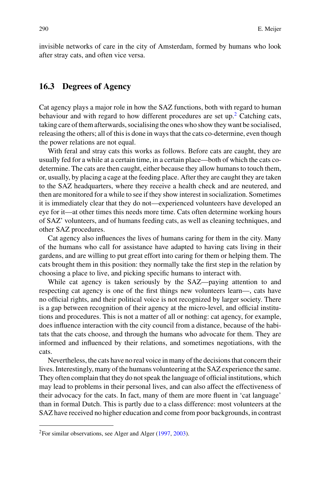invisible networks of care in the city of Amsterdam, formed by humans who look after stray cats, and often vice versa.

#### **16.3 Degrees of Agency**

Cat agency plays a major role in how the SAZ functions, both with regard to human behaviour and with regard to how different procedures are set  $up.^2$  $up.^2$  Catching cats, taking care of them afterwards, socialising the ones who show they want be socialised, releasing the others; all of this is done in ways that the cats co-determine, even though the power relations are not equal.

With feral and stray cats this works as follows. Before cats are caught, they are usually fed for a while at a certain time, in a certain place—both of which the cats codetermine. The cats are then caught, either because they allow humans to touch them, or, usually, by placing a cage at the feeding place. After they are caught they are taken to the SAZ headquarters, where they receive a health check and are neutered, and then are monitored for a while to see if they show interest in socialization. Sometimes it is immediately clear that they do not—experienced volunteers have developed an eye for it—at other times this needs more time. Cats often determine working hours of SAZ' volunteers, and of humans feeding cats, as well as cleaning techniques, and other SAZ procedures.

Cat agency also influences the lives of humans caring for them in the city. Many of the humans who call for assistance have adapted to having cats living in their gardens, and are willing to put great effort into caring for them or helping them. The cats brought them in this position: they normally take the first step in the relation by choosing a place to live, and picking specific humans to interact with.

While cat agency is taken seriously by the SAZ—paying attention to and respecting cat agency is one of the first things new volunteers learn—, cats have no official rights, and their political voice is not recognized by larger society. There is a gap between recognition of their agency at the micro-level, and official institutions and procedures. This is not a matter of all or nothing: cat agency, for example, does influence interaction with the city council from a distance, because of the habitats that the cats choose, and through the humans who advocate for them. They are informed and influenced by their relations, and sometimes negotiations, with the cats.

Nevertheless, the cats have no real voice in many of the decisions that concern their lives. Interestingly, many of the humans volunteering at the SAZ experience the same. They often complain that they do not speak the language of official institutions, which may lead to problems in their personal lives, and can also affect the effectiveness of their advocacy for the cats. In fact, many of them are more fluent in 'cat language' than in formal Dutch. This is partly due to a class difference: most volunteers at the SAZ have received no higher education and come from poor backgrounds, in contrast

<span id="page-3-0"></span><sup>&</sup>lt;sup>2</sup>For similar observations, see Alger and Alger [\(1997,](#page-11-0) [2003\)](#page-11-1).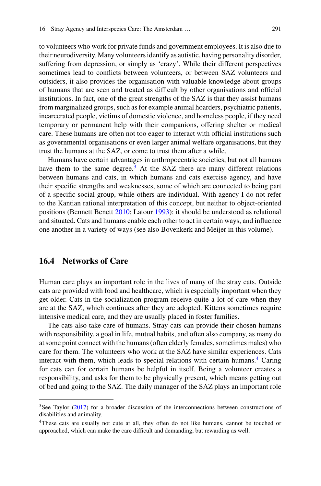to volunteers who work for private funds and government employees. It is also due to their neurodiversity. Many volunteers identify as autistic, having personality disorder, suffering from depression, or simply as 'crazy'. While their different perspectives sometimes lead to conflicts between volunteers, or between SAZ volunteers and outsiders, it also provides the organisation with valuable knowledge about groups of humans that are seen and treated as difficult by other organisations and official institutions. In fact, one of the great strengths of the SAZ is that they assist humans from marginalized groups, such as for example animal hoarders, psychiatric patients, incarcerated people, victims of domestic violence, and homeless people, if they need temporary or permanent help with their companions, offering shelter or medical care. These humans are often not too eager to interact with official institutions such as governmental organisations or even larger animal welfare organisations, but they trust the humans at the SAZ, or come to trust them after a while.

Humans have certain advantages in anthropocentric societies, but not all humans have them to the same degree. $3$  At the SAZ there are many different relations between humans and cats, in which humans and cats exercise agency, and have their specific strengths and weaknesses, some of which are connected to being part of a specific social group, while others are individual. With agency I do not refer to the Kantian rational interpretation of this concept, but neither to object-oriented positions (Bennett Benett [2010;](#page-11-2) Latour [1993\)](#page-12-2): it should be understood as relational and situated. Cats and humans enable each other to act in certain ways, and influence one another in a variety of ways (see also Bovenkerk and Meijer in this volume).

#### **16.4 Networks of Care**

Human care plays an important role in the lives of many of the stray cats. Outside cats are provided with food and healthcare, which is especially important when they get older. Cats in the socialization program receive quite a lot of care when they are at the SAZ, which continues after they are adopted. Kittens sometimes require intensive medical care, and they are usually placed in foster families.

The cats also take care of humans. Stray cats can provide their chosen humans with responsibility, a goal in life, mutual habits, and often also company, as many do at some point connect with the humans (often elderly females, sometimes males) who care for them. The volunteers who work at the SAZ have similar experiences. Cats interact with them, which leads to special relations with certain humans.<sup>4</sup> Caring for cats can for certain humans be helpful in itself. Being a volunteer creates a responsibility, and asks for them to be physically present, which means getting out of bed and going to the SAZ. The daily manager of the SAZ plays an important role

<span id="page-4-1"></span><span id="page-4-0"></span> $3$ See Taylor [\(2017\)](#page-12-3) for a broader discussion of the interconnections between constructions of disabilities and animality.

<sup>4</sup>These cats are usually not cute at all, they often do not like humans, cannot be touched or approached, which can make the care difficult and demanding, but rewarding as well.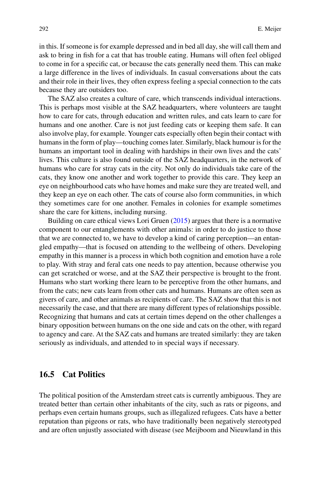in this. If someone is for example depressed and in bed all day, she will call them and ask to bring in fish for a cat that has trouble eating. Humans will often feel obliged to come in for a specific cat, or because the cats generally need them. This can make a large difference in the lives of individuals. In casual conversations about the cats and their role in their lives, they often express feeling a special connection to the cats because they are outsiders too.

The SAZ also creates a culture of care, which transcends individual interactions. This is perhaps most visible at the SAZ headquarters, where volunteers are taught how to care for cats, through education and written rules, and cats learn to care for humans and one another. Care is not just feeding cats or keeping them safe. It can also involve play, for example. Younger cats especially often begin their contact with humans in the form of play—touching comes later. Similarly, black humour is for the humans an important tool in dealing with hardships in their own lives and the cats' lives. This culture is also found outside of the SAZ headquarters, in the network of humans who care for stray cats in the city. Not only do individuals take care of the cats, they know one another and work together to provide this care. They keep an eye on neighbourhood cats who have homes and make sure they are treated well, and they keep an eye on each other. The cats of course also form communities, in which they sometimes care for one another. Females in colonies for example sometimes share the care for kittens, including nursing.

Building on care ethical views Lori Gruen [\(2015\)](#page-12-4) argues that there is a normative component to our entanglements with other animals: in order to do justice to those that we are connected to, we have to develop a kind of caring perception—an entangled empathy—that is focused on attending to the wellbeing of others. Developing empathy in this manner is a process in which both cognition and emotion have a role to play. With stray and feral cats one needs to pay attention, because otherwise you can get scratched or worse, and at the SAZ their perspective is brought to the front. Humans who start working there learn to be perceptive from the other humans, and from the cats; new cats learn from other cats and humans. Humans are often seen as givers of care, and other animals as recipients of care. The SAZ show that this is not necessarily the case, and that there are many different types of relationships possible. Recognizing that humans and cats at certain times depend on the other challenges a binary opposition between humans on the one side and cats on the other, with regard to agency and care. At the SAZ cats and humans are treated similarly: they are taken seriously as individuals, and attended to in special ways if necessary.

#### **16.5 Cat Politics**

The political position of the Amsterdam street cats is currently ambiguous. They are treated better than certain other inhabitants of the city, such as rats or pigeons, and perhaps even certain humans groups, such as illegalized refugees. Cats have a better reputation than pigeons or rats, who have traditionally been negatively stereotyped and are often unjustly associated with disease (see Meijboom and Nieuwland in this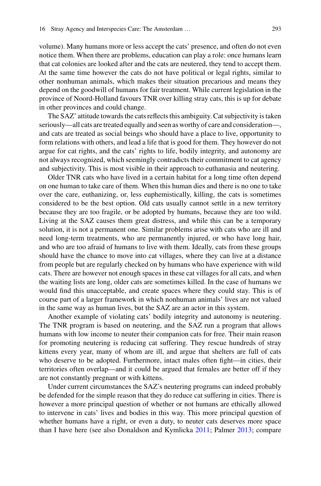volume). Many humans more or less accept the cats' presence, and often do not even notice them. When there are problems, education can play a role: once humans learn that cat colonies are looked after and the cats are neutered, they tend to accept them. At the same time however the cats do not have political or legal rights, similar to other nonhuman animals, which makes their situation precarious and means they depend on the goodwill of humans for fair treatment. While current legislation in the province of Noord-Holland favours TNR over killing stray cats, this is up for debate in other provinces and could change.

The SAZ' attitude towards the cats reflects this ambiguity. Cat subjectivity is taken seriously—all cats are treated equally and seen as worthy of care and consideration—, and cats are treated as social beings who should have a place to live, opportunity to form relations with others, and lead a life that is good for them. They however do not argue for cat rights, and the cats' rights to life, bodily integrity, and autonomy are not always recognized, which seemingly contradicts their commitment to cat agency and subjectivity. This is most visible in their approach to euthanasia and neutering.

Older TNR cats who have lived in a certain habitat for a long time often depend on one human to take care of them. When this human dies and there is no one to take over the care, euthanizing, or, less euphemistically, killing, the cats is sometimes considered to be the best option. Old cats usually cannot settle in a new territory because they are too fragile, or be adopted by humans, because they are too wild. Living at the SAZ causes them great distress, and while this can be a temporary solution, it is not a permanent one. Similar problems arise with cats who are ill and need long-term treatments, who are permanently injured, or who have long hair, and who are too afraid of humans to live with them. Ideally, cats from these groups should have the chance to move into cat villages, where they can live at a distance from people but are regularly checked on by humans who have experience with wild cats. There are however not enough spaces in these cat villages for all cats, and when the waiting lists are long, older cats are sometimes killed. In the case of humans we would find this unacceptable, and create spaces where they could stay. This is of course part of a larger framework in which nonhuman animals' lives are not valued in the same way as human lives, but the SAZ are an actor in this system.

Another example of violating cats' bodily integrity and autonomy is neutering. The TNR program is based on neutering, and the SAZ run a program that allows humans with low income to neuter their companion cats for free. Their main reason for promoting neutering is reducing cat suffering. They rescue hundreds of stray kittens every year, many of whom are ill, and argue that shelters are full of cats who deserve to be adopted. Furthermore, intact males often fight—in cities, their territories often overlap—and it could be argued that females are better off if they are not constantly pregnant or with kittens.

Under current circumstances the SAZ's neutering programs can indeed probably be defended for the simple reason that they do reduce cat suffering in cities. There is however a more principal question of whether or not humans are ethically allowed to intervene in cats' lives and bodies in this way. This more principal question of whether humans have a right, or even a duty, to neuter cats deserves more space than I have here (see also Donaldson and Kymlicka [2011;](#page-12-5) Palmer [2013;](#page-12-6) compare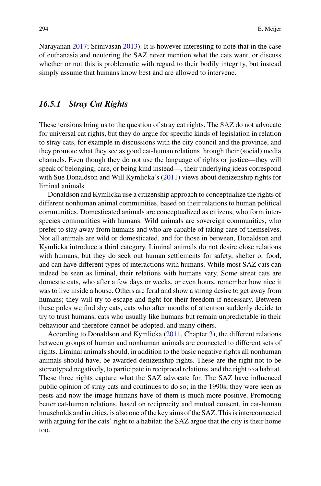Narayanan [2017;](#page-12-7) Srinivasan [2013\)](#page-12-0). It is however interesting to note that in the case of euthanasia and neutering the SAZ never mention what the cats want, or discuss whether or not this is problematic with regard to their bodily integrity, but instead simply assume that humans know best and are allowed to intervene.

### *16.5.1 Stray Cat Rights*

These tensions bring us to the question of stray cat rights. The SAZ do not advocate for universal cat rights, but they do argue for specific kinds of legislation in relation to stray cats, for example in discussions with the city council and the province, and they promote what they see as good cat-human relations through their (social) media channels. Even though they do not use the language of rights or justice—they will speak of belonging, care, or being kind instead—, their underlying ideas correspond with Sue Donaldson and Will Kymlicka's [\(2011\)](#page-12-5) views about denizenship rights for liminal animals.

Donaldson and Kymlicka use a citizenship approach to conceptualize the rights of different nonhuman animal communities, based on their relations to human political communities. Domesticated animals are conceptualized as citizens, who form interspecies communities with humans. Wild animals are sovereign communities, who prefer to stay away from humans and who are capable of taking care of themselves. Not all animals are wild or domesticated, and for those in between, Donaldson and Kymlicka introduce a third category. Liminal animals do not desire close relations with humans, but they do seek out human settlements for safety, shelter or food, and can have different types of interactions with humans. While most SAZ cats can indeed be seen as liminal, their relations with humans vary. Some street cats are domestic cats, who after a few days or weeks, or even hours, remember how nice it was to live inside a house. Others are feral and show a strong desire to get away from humans; they will try to escape and fight for their freedom if necessary. Between these poles we find shy cats, cats who after months of attention suddenly decide to try to trust humans, cats who usually like humans but remain unpredictable in their behaviour and therefore cannot be adopted, and many others.

According to Donaldson and Kymlicka [\(2011,](#page-12-5) Chapter 3), the different relations between groups of human and nonhuman animals are connected to different sets of rights. Liminal animals should, in addition to the basic negative rights all nonhuman animals should have, be awarded denizenship rights. These are the right not to be stereotyped negatively, to participate in reciprocal relations, and the right to a habitat. These three rights capture what the SAZ advocate for. The SAZ have influenced public opinion of stray cats and continues to do so; in the 1990s, they were seen as pests and now the image humans have of them is much more positive. Promoting better cat-human relations, based on reciprocity and mutual consent, in cat-human households and in cities, is also one of the key aims of the SAZ. This is interconnected with arguing for the cats' right to a habitat: the SAZ argue that the city is their home too.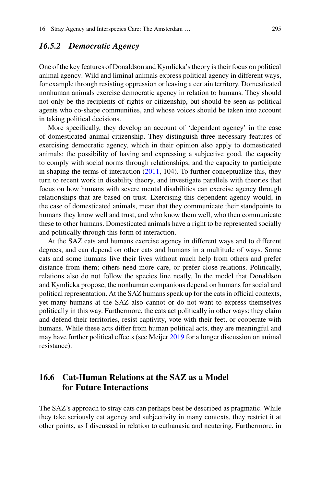#### *16.5.2 Democratic Agency*

One of the key features of Donaldson and Kymlicka's theory is their focus on political animal agency. Wild and liminal animals express political agency in different ways, for example through resisting oppression or leaving a certain territory. Domesticated nonhuman animals exercise democratic agency in relation to humans. They should not only be the recipients of rights or citizenship, but should be seen as political agents who co-shape communities, and whose voices should be taken into account in taking political decisions.

More specifically, they develop an account of 'dependent agency' in the case of domesticated animal citizenship. They distinguish three necessary features of exercising democratic agency, which in their opinion also apply to domesticated animals: the possibility of having and expressing a subjective good, the capacity to comply with social norms through relationships, and the capacity to participate in shaping the terms of interaction [\(2011,](#page-12-5) 104). To further conceptualize this, they turn to recent work in disability theory, and investigate parallels with theories that focus on how humans with severe mental disabilities can exercise agency through relationships that are based on trust. Exercising this dependent agency would, in the case of domesticated animals, mean that they communicate their standpoints to humans they know well and trust, and who know them well, who then communicate these to other humans. Domesticated animals have a right to be represented socially and politically through this form of interaction.

At the SAZ cats and humans exercise agency in different ways and to different degrees, and can depend on other cats and humans in a multitude of ways. Some cats and some humans live their lives without much help from others and prefer distance from them; others need more care, or prefer close relations. Politically, relations also do not follow the species line neatly. In the model that Donaldson and Kymlicka propose, the nonhuman companions depend on humans for social and political representation. At the SAZ humans speak up for the cats in official contexts, yet many humans at the SAZ also cannot or do not want to express themselves politically in this way. Furthermore, the cats act politically in other ways: they claim and defend their territories, resist captivity, vote with their feet, or cooperate with humans. While these acts differ from human political acts, they are meaningful and may have further political effects (see Meijer [2019](#page-12-8) for a longer discussion on animal resistance).

# **16.6 Cat-Human Relations at the SAZ as a Model for Future Interactions**

The SAZ's approach to stray cats can perhaps best be described as pragmatic. While they take seriously cat agency and subjectivity in many contexts, they restrict it at other points, as I discussed in relation to euthanasia and neutering. Furthermore, in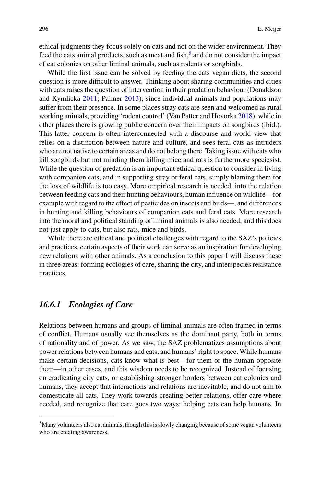ethical judgments they focus solely on cats and not on the wider environment. They feed the cats animal products, such as meat and fish, $\frac{5}{5}$  and do not consider the impact of cat colonies on other liminal animals, such as rodents or songbirds.

While the first issue can be solved by feeding the cats vegan diets, the second question is more difficult to answer. Thinking about sharing communities and cities with cats raises the question of intervention in their predation behaviour (Donaldson and Kymlicka [2011;](#page-12-5) Palmer [2013\)](#page-12-6), since individual animals and populations may suffer from their presence. In some places stray cats are seen and welcomed as rural working animals, providing 'rodent control' (Van Patter and Hovorka [2018\)](#page-12-1), while in other places there is growing public concern over their impacts on songbirds (ibid.). This latter concern is often interconnected with a discourse and world view that relies on a distinction between nature and culture, and sees feral cats as intruders who are not native to certain areas and do not belong there. Taking issue with cats who kill songbirds but not minding them killing mice and rats is furthermore speciesist. While the question of predation is an important ethical question to consider in living with companion cats, and in supporting stray or feral cats, simply blaming them for the loss of wildlife is too easy. More empirical research is needed, into the relation between feeding cats and their hunting behaviours, human influence on wildlife—for example with regard to the effect of pesticides on insects and birds—, and differences in hunting and killing behaviours of companion cats and feral cats. More research into the moral and political standing of liminal animals is also needed, and this does not just apply to cats, but also rats, mice and birds.

While there are ethical and political challenges with regard to the SAZ's policies and practices, certain aspects of their work can serve as an inspiration for developing new relations with other animals. As a conclusion to this paper I will discuss these in three areas: forming ecologies of care, sharing the city, and interspecies resistance practices.

## *16.6.1 Ecologies of Care*

Relations between humans and groups of liminal animals are often framed in terms of conflict. Humans usually see themselves as the dominant party, both in terms of rationality and of power. As we saw, the SAZ problematizes assumptions about power relations between humans and cats, and humans' right to space. While humans make certain decisions, cats know what is best—for them or the human opposite them—in other cases, and this wisdom needs to be recognized. Instead of focusing on eradicating city cats, or establishing stronger borders between cat colonies and humans, they accept that interactions and relations are inevitable, and do not aim to domesticate all cats. They work towards creating better relations, offer care where needed, and recognize that care goes two ways: helping cats can help humans. In

<span id="page-9-0"></span><sup>&</sup>lt;sup>5</sup>Many volunteers also eat animals, though this is slowly changing because of some vegan volunteers who are creating awareness.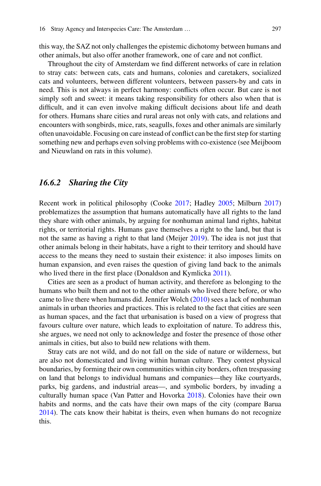this way, the SAZ not only challenges the epistemic dichotomy between humans and other animals, but also offer another framework, one of care and not conflict.

Throughout the city of Amsterdam we find different networks of care in relation to stray cats: between cats, cats and humans, colonies and caretakers, socialized cats and volunteers, between different volunteers, between passers-by and cats in need. This is not always in perfect harmony: conflicts often occur. But care is not simply soft and sweet: it means taking responsibility for others also when that is difficult, and it can even involve making difficult decisions about life and death for others. Humans share cities and rural areas not only with cats, and relations and encounters with songbirds, mice, rats, seagulls, foxes and other animals are similarly often unavoidable. Focusing on care instead of conflict can be the first step for starting something new and perhaps even solving problems with co-existence (see Meijboom and Nieuwland on rats in this volume).

#### *16.6.2 Sharing the City*

Recent work in political philosophy (Cooke [2017;](#page-12-9) Hadley [2005;](#page-12-10) Milburn [2017\)](#page-12-11) problematizes the assumption that humans automatically have all rights to the land they share with other animals, by arguing for nonhuman animal land rights, habitat rights, or territorial rights. Humans gave themselves a right to the land, but that is not the same as having a right to that land (Meijer [2019\)](#page-12-8). The idea is not just that other animals belong in their habitats, have a right to their territory and should have access to the means they need to sustain their existence: it also imposes limits on human expansion, and even raises the question of giving land back to the animals who lived there in the first place (Donaldson and Kymlicka [2011\)](#page-12-5).

Cities are seen as a product of human activity, and therefore as belonging to the humans who built them and not to the other animals who lived there before, or who came to live there when humans did. Jennifer Wolch [\(2010\)](#page-12-12) sees a lack of nonhuman animals in urban theories and practices. This is related to the fact that cities are seen as human spaces, and the fact that urbanisation is based on a view of progress that favours culture over nature, which leads to exploitation of nature. To address this, she argues, we need not only to acknowledge and foster the presence of those other animals in cities, but also to build new relations with them.

Stray cats are not wild, and do not fall on the side of nature or wilderness, but are also not domesticated and living within human culture. They contest physical boundaries, by forming their own communities within city borders, often trespassing on land that belongs to individual humans and companies—they like courtyards, parks, big gardens, and industrial areas—, and symbolic borders, by invading a culturally human space (Van Patter and Hovorka [2018\)](#page-12-1). Colonies have their own habits and norms, and the cats have their own maps of the city (compare Barua [2014\)](#page-11-3). The cats know their habitat is theirs, even when humans do not recognize this.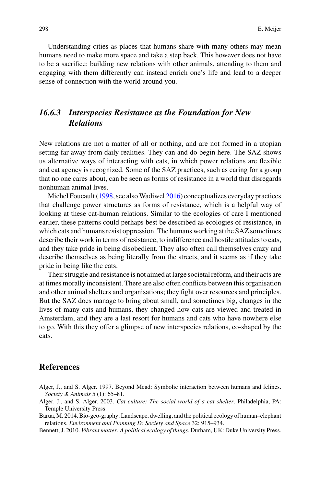Understanding cities as places that humans share with many others may mean humans need to make more space and take a step back. This however does not have to be a sacrifice: building new relations with other animals, attending to them and engaging with them differently can instead enrich one's life and lead to a deeper sense of connection with the world around you.

# *16.6.3 Interspecies Resistance as the Foundation for New Relations*

New relations are not a matter of all or nothing, and are not formed in a utopian setting far away from daily realities. They can and do begin here. The SAZ shows us alternative ways of interacting with cats, in which power relations are flexible and cat agency is recognized. Some of the SAZ practices, such as caring for a group that no one cares about, can be seen as forms of resistance in a world that disregards nonhuman animal lives.

Michel Foucault [\(1998,](#page-12-13) see also Wadiwel [2016\)](#page-12-14) conceptualizes everyday practices that challenge power structures as forms of resistance, which is a helpful way of looking at these cat-human relations. Similar to the ecologies of care I mentioned earlier, these patterns could perhaps best be described as ecologies of resistance, in which cats and humans resist oppression. The humans working at the SAZ sometimes describe their work in terms of resistance, to indifference and hostile attitudes to cats, and they take pride in being disobedient. They also often call themselves crazy and describe themselves as being literally from the streets, and it seems as if they take pride in being like the cats.

Their struggle and resistance is not aimed at large societal reform, and their acts are at times morally inconsistent. There are also often conflicts between this organisation and other animal shelters and organisations; they fight over resources and principles. But the SAZ does manage to bring about small, and sometimes big, changes in the lives of many cats and humans, they changed how cats are viewed and treated in Amsterdam, and they are a last resort for humans and cats who have nowhere else to go. With this they offer a glimpse of new interspecies relations, co-shaped by the cats.

#### **References**

- <span id="page-11-0"></span>Alger, J., and S. Alger. 1997. Beyond Mead: Symbolic interaction between humans and felines. *Society & Animals* 5 (1): 65–81.
- <span id="page-11-1"></span>Alger, J., and S. Alger. 2003. *Cat culture: The social world of a cat shelter*. Philadelphia, PA: Temple University Press.
- <span id="page-11-3"></span>Barua, M. 2014. Bio-geo-graphy: Landscape, dwelling, and the political ecology of human–elephant relations. *Environment and Planning D: Society and Space* 32: 915–934.
- <span id="page-11-2"></span>Bennett, J. 2010. *Vibrant matter: A political ecology of things*. Durham, UK: Duke University Press.